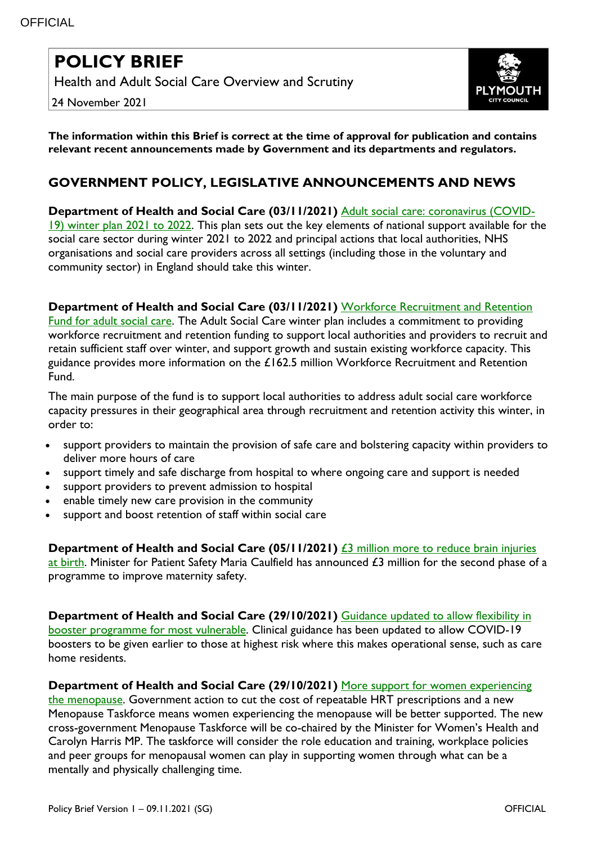# **POLICY BRIEF**

Health and Adult Social Care Overview and Scrutiny

24 November 2021



**The information within this Brief is correct at the time of approval for publication and contains relevant recent announcements made by Government and its departments and regulators.**

## **GOVERNMENT POLICY, LEGISLATIVE ANNOUNCEMENTS AND NEWS**

**Department of Health and Social Care (03/11/2021)** [Adult social care: coronavirus \(COVID-](https://www.gov.uk/government/publications/adult-social-care-coronavirus-covid-19-winter-plan-2021-to-2022?utm_medium=email&utm_campaign=govuk-notifications&utm_source=edfe3a6f-076a-4986-abcb-7b62f1c2661c&utm_content=immediately)[19\) winter plan 2021 to 2022.](https://www.gov.uk/government/publications/adult-social-care-coronavirus-covid-19-winter-plan-2021-to-2022?utm_medium=email&utm_campaign=govuk-notifications&utm_source=edfe3a6f-076a-4986-abcb-7b62f1c2661c&utm_content=immediately) This plan sets out the key elements of national support available for the social care sector during winter 2021 to 2022 and principal actions that local authorities, NHS organisations and social care providers across all settings (including those in the voluntary and community sector) in England should take this winter.

#### **Department of Health and Social Care (03/11/2021)** [Workforce Recruitment and Retention](https://www.gov.uk/government/publications/workforce-recruitment-and-retention-fund-for-adult-social-care?utm_medium=email&utm_campaign=govuk-notifications&utm_source=a44df977-22d9-45bf-b25b-a7fde3bc8412&utm_content=immediately)

[Fund for adult social care.](https://www.gov.uk/government/publications/workforce-recruitment-and-retention-fund-for-adult-social-care?utm_medium=email&utm_campaign=govuk-notifications&utm_source=a44df977-22d9-45bf-b25b-a7fde3bc8412&utm_content=immediately) The Adult Social Care winter plan includes a commitment to providing workforce recruitment and retention funding to support local authorities and providers to recruit and retain sufficient staff over winter, and support growth and sustain existing workforce capacity. This guidance provides more information on the £162.5 million Workforce Recruitment and Retention Fund.

The main purpose of the fund is to support local authorities to address adult social care workforce capacity pressures in their geographical area through recruitment and retention activity this winter, in order to:

- support providers to maintain the provision of safe care and bolstering capacity within providers to deliver more hours of care
- support timely and safe discharge from hospital to where ongoing care and support is needed
- support providers to prevent admission to hospital
- enable timely new care provision in the community
- support and boost retention of staff within social care

**Department of Health and Social Care (05/11/2021)**  $\overline{23}$  million more to reduce brain injuries [at birth.](https://www.gov.uk/government/news/3-million-more-to-reduce-brain-injuries-at-birth) Minister for Patient Safety Maria Caulfield has announced £3 million for the second phase of a programme to improve maternity safety.

**Department of Health and Social Care (29/10/2021)** [Guidance updated to allow flexibility in](https://www.gov.uk/government/news/guidance-updated-to-allow-flexibility-in-booster-programme-for-most-vulnerable)  booster [programme for most vulnerable.](https://www.gov.uk/government/news/guidance-updated-to-allow-flexibility-in-booster-programme-for-most-vulnerable) Clinical guidance has been updated to allow COVID-19 boosters to be given earlier to those at highest risk where this makes operational sense, such as care home residents.

#### **Department of Health and Social Care (29/10/2021)** [More support for women experiencing](https://www.gov.uk/government/news/more-support-for-women-experiencing-the-menopause)

[the menopause.](https://www.gov.uk/government/news/more-support-for-women-experiencing-the-menopause) Government action to cut the cost of repeatable HRT prescriptions and a new Menopause Taskforce means women experiencing the menopause will be better supported. The new cross-government Menopause Taskforce will be co-chaired by the Minister for Women's Health and Carolyn Harris MP. The taskforce will consider the role education and training, workplace policies and peer groups for menopausal women can play in supporting women through what can be a mentally and physically challenging time.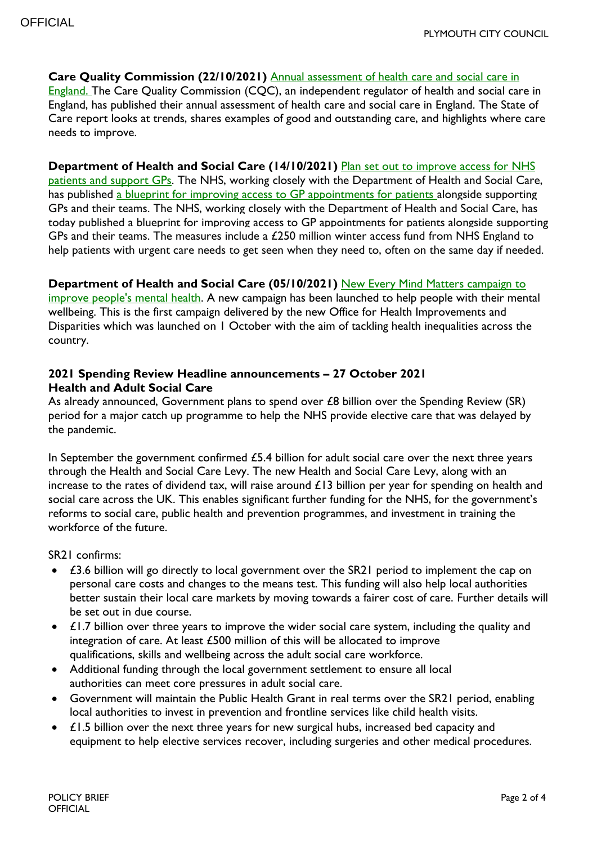**Care Quality Commission (22/10/2021)** [Annual assessment of health care and social care in](https://www.cqc.org.uk/publications/major-report/state-care)  [England.](https://www.cqc.org.uk/publications/major-report/state-care) The Care Quality Commission (CQC), an independent regulator of health and social care in England, has published their annual assessment of health care and social care in England. The State of Care report looks at trends, shares examples of good and outstanding care, and highlights where care needs to improve.

#### **Department of Health and Social Care (14/10/2021)** [Plan set out to improve access for NHS](https://www.gov.uk/government/news/plan-set-out-to-improve-access-for-nhs-patients-and-support-gps)

[patients and support GPs.](https://www.gov.uk/government/news/plan-set-out-to-improve-access-for-nhs-patients-and-support-gps) The NHS, working closely with the Department of Health and Social Care, has published [a blueprint for improving access to GP appointments for patients](https://www.england.nhs.uk/coronavirus/publication/our-plan-for-improving-access-for-patients-and-supporting-general-practice/) alongside supporting GPs and their teams. The NHS, working closely with the Department of Health and Social Care, has today published a blueprint for improving access to GP appointments for patients alongside supporting GPs and their teams. The measures include a £250 million winter access fund from NHS England to help patients with urgent care needs to get seen when they need to, often on the same day if needed.

#### **Department of Health and Social Care (05/10/2021)** [New Every Mind Matters campaign to](https://www.gov.uk/government/news/new-every-mind-matters-campaign-to-improve-peoples-mental-health?utm_medium=email&utm_campaign=govuk-notifications&utm_source=4961bb64-31f7-478f-be5b-66027ce63795&utm_content=immediately)

[improve people's mental health.](https://www.gov.uk/government/news/new-every-mind-matters-campaign-to-improve-peoples-mental-health?utm_medium=email&utm_campaign=govuk-notifications&utm_source=4961bb64-31f7-478f-be5b-66027ce63795&utm_content=immediately) A new campaign has been launched to help people with their mental wellbeing. This is the first campaign delivered by the new Office for Health Improvements and Disparities which was launched on 1 October with the aim of tackling health inequalities across the country.

#### **2021 Spending Review Headline announcements – 27 October 2021 Health and Adult Social Care**

As already announced, Government plans to spend over £8 billion over the Spending Review (SR) period for a major catch up programme to help the NHS provide elective care that was delayed by the pandemic.

In September the government confirmed  $£5.4$  billion for adult social care over the next three years through the Health and Social Care Levy. The new Health and Social Care Levy, along with an increase to the rates of dividend tax, will raise around £13 billion per year for spending on health and social care across the UK. This enables significant further funding for the NHS, for the government's reforms to social care, public health and prevention programmes, and investment in training the workforce of the future.

SR21 confirms:

- £3.6 billion will go directly to local government over the SR21 period to implement the cap on personal care costs and changes to the means test. This funding will also help local authorities better sustain their local care markets by moving towards a fairer cost of care. Further details will be set out in due course.
- $\bullet$   $\angle$  £1.7 billion over three years to improve the wider social care system, including the quality and integration of care. At least £500 million of this will be allocated to improve qualifications, skills and wellbeing across the adult social care workforce.
- Additional funding through the local government settlement to ensure all local authorities can meet core pressures in adult social care.
- Government will maintain the Public Health Grant in real terms over the SR21 period, enabling local authorities to invest in prevention and frontline services like child health visits.
- $\bullet$   $\angle$  £1.5 billion over the next three years for new surgical hubs, increased bed capacity and equipment to help elective services recover, including surgeries and other medical procedures.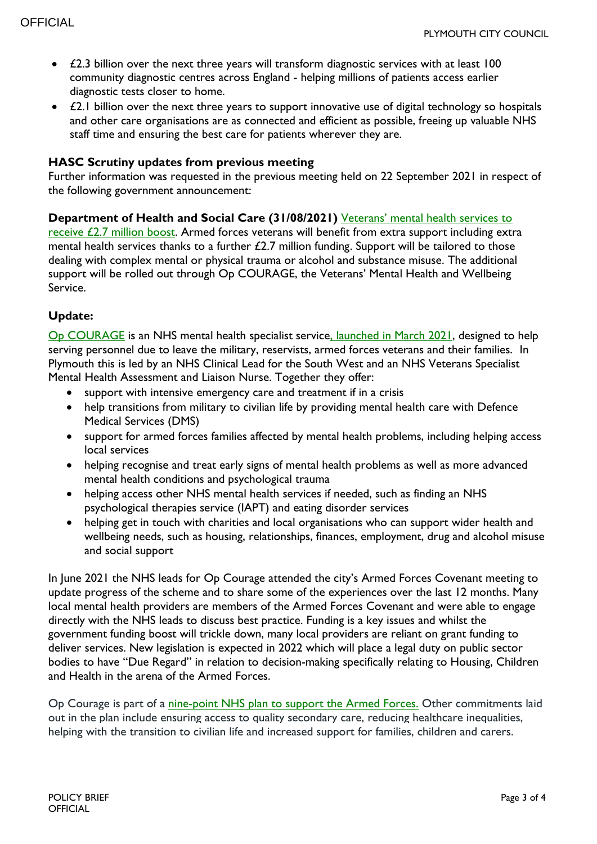- £2.3 billion over the next three years will transform diagnostic services with at least 100 community diagnostic centres across England - helping millions of patients access earlier diagnostic tests closer to home.
- $\bullet$   $\angle$  £2.1 billion over the next three years to support innovative use of digital technology so hospitals and other care organisations are as connected and efficient as possible, freeing up valuable NHS staff time and ensuring the best care for patients wherever they are.

## **HASC Scrutiny updates from previous meeting**

Further information was requested in the previous meeting held on 22 September 2021 in respect of the following government announcement:

### **Department of Health and Social Care (31/08/2021)** [Veterans' mental health services to](https://www.gov.uk/government/news/veterans-mental-health-services-to-receive-27-million-boost)

[receive £2.7 million boost.](https://www.gov.uk/government/news/veterans-mental-health-services-to-receive-27-million-boost) Armed forces veterans will benefit from extra support including extra mental health services thanks to a further £2.7 million funding. Support will be tailored to those dealing with complex mental or physical trauma or alcohol and substance misuse. The additional support will be rolled out through Op COURAGE, the Veterans' Mental Health and Wellbeing Service.

## **Update:**

[Op COURAGE](https://www.nhs.uk/nhs-services/armed-forces-community/mental-health/veterans-reservists/) is an NHS mental health specialist servic[e, launched in March 2021,](https://www.england.nhs.uk/2021/03/nhs-launches-op-courage-veterans-mental-health-service/) designed to help serving personnel due to leave the military, reservists, armed forces veterans and their families. In Plymouth this is led by an NHS Clinical Lead for the South West and an NHS Veterans Specialist Mental Health Assessment and Liaison Nurse. Together they offer:

- support with intensive emergency care and treatment if in a crisis
- help transitions from military to civilian life by providing mental health care with Defence Medical Services (DMS)
- support for armed forces families affected by mental health problems, including helping access local services
- helping recognise and treat early signs of mental health problems as well as more advanced mental health conditions and psychological trauma
- helping access other NHS mental health services if needed, such as finding an NHS psychological therapies service (IAPT) and eating disorder services
- helping get in touch with charities and local organisations who can support wider health and wellbeing needs, such as housing, relationships, finances, employment, drug and alcohol misuse and social support

In June 2021 the NHS leads for Op Courage attended the city's Armed Forces Covenant meeting to update progress of the scheme and to share some of the experiences over the last 12 months. Many local mental health providers are members of the Armed Forces Covenant and were able to engage directly with the NHS leads to discuss best practice. Funding is a key issues and whilst the government funding boost will trickle down, many local providers are reliant on grant funding to deliver services. New legislation is expected in 2022 which will place a legal duty on public sector bodies to have "Due Regard" in relation to decision-making specifically relating to Housing, Children and Health in the arena of the Armed Forces.

Op Courage is part of a [nine-point NHS plan to support the Armed Forces.](https://www.england.nhs.uk/publication/healthcare-for-the-armed-forces-community-a-forward-view/) Other commitments laid out in the plan include ensuring access to quality secondary care, reducing healthcare inequalities, helping with the transition to civilian life and increased support for families, children and carers.